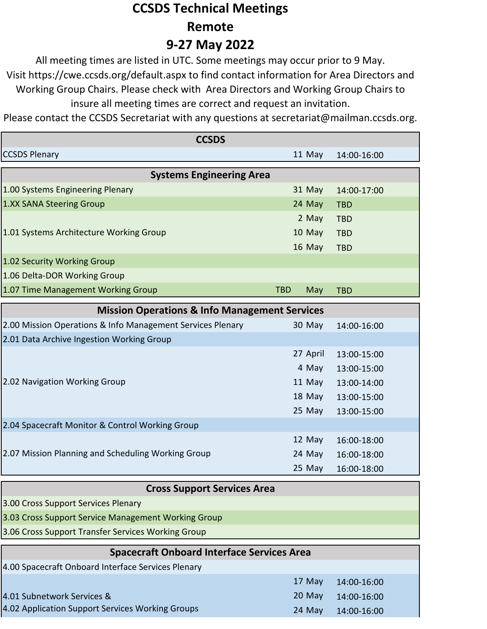## **CCSDS Technical Meetings Remote 9-27 May 2022**

All meeting times are listed in UTC. Some meetings may occur prior to 9 May. Visit https://cwe.ccsds.org/default.aspx to find contact information for Area Directors and Working Group Chairs. Please check with Area Directors and Working Group Chairs to insure all meeting times are correct and request an invitation.

Please contact the CCSDS Secretariat with any questions at secretariat@mailman.ccsds.org.

| <b>CCSDS</b>                                               |                   |             |  |
|------------------------------------------------------------|-------------------|-------------|--|
| <b>CCSDS Plenary</b>                                       | 11 May            | 14:00-16:00 |  |
| <b>Systems Engineering Area</b>                            |                   |             |  |
| 1.00 Systems Engineering Plenary                           | 31 May            | 14:00-17:00 |  |
| 1.XX SANA Steering Group                                   | 24 May            | <b>TBD</b>  |  |
|                                                            | 2 May             | <b>TBD</b>  |  |
| 1.01 Systems Architecture Working Group                    | 10 May            | <b>TBD</b>  |  |
|                                                            | 16 May            | <b>TBD</b>  |  |
| 1.02 Security Working Group                                |                   |             |  |
| 1.06 Delta-DOR Working Group                               |                   |             |  |
| 1.07 Time Management Working Group                         | <b>TBD</b><br>May | <b>TBD</b>  |  |
| <b>Mission Operations &amp; Info Management Services</b>   |                   |             |  |
| 2.00 Mission Operations & Info Management Services Plenary | 30 May            | 14:00-16:00 |  |
| 2.01 Data Archive Ingestion Working Group                  |                   |             |  |
|                                                            | 27 April          | 13:00-15:00 |  |
|                                                            | 4 May             | 13:00-15:00 |  |
| 2.02 Navigation Working Group                              | 11 May            | 13:00-14:00 |  |
|                                                            | 18 May            | 13:00-15:00 |  |
|                                                            | 25 May            | 13:00-15:00 |  |
| 2.04 Spacecraft Monitor & Control Working Group            |                   |             |  |
|                                                            | 12 May            | 16:00-18:00 |  |
| 2.07 Mission Planning and Scheduling Working Group         | 24 May            | 16:00-18:00 |  |
|                                                            | 25 May            | 16:00-18:00 |  |
| <b>Cross Support Services Area</b>                         |                   |             |  |
| 3.00 Cross Support Services Plenary                        |                   |             |  |
| 3.03 Cross Support Service Management Working Group        |                   |             |  |
| 3.06 Cross Support Transfer Services Working Group         |                   |             |  |
| <b>Spacecraft Onboard Interface Services Area</b>          |                   |             |  |
| 4.00 Spacecraft Onboard Interface Services Plenary         |                   |             |  |
|                                                            | 17 May            | 14:00-16:00 |  |
| 4.01 Subnetwork Services &                                 | 20 May            | 14:00-16:00 |  |
| 4.02 Application Support Services Working Groups           | 24 May            | 14:00-16:00 |  |